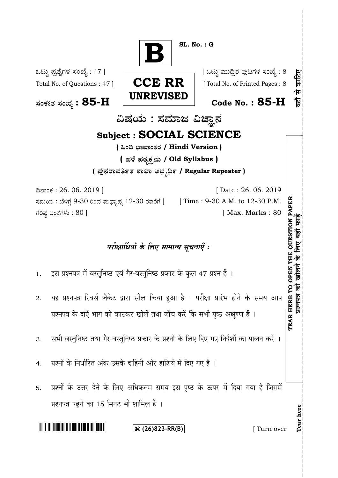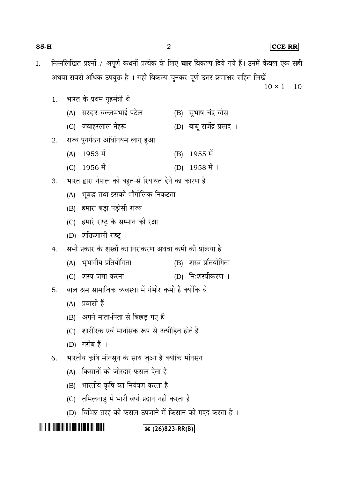| $I_{\cdot}$ |    |     |                                                            |                    | निम्नलिखित प्रश्नों / अपूर्ण कथनों प्रत्येक के लिए <b>चार</b> विकल्प दिये गये हैं। उनमें केवल एक सही |  |  |  |  |
|-------------|----|-----|------------------------------------------------------------|--------------------|------------------------------------------------------------------------------------------------------|--|--|--|--|
|             |    |     |                                                            |                    | अथवा सबसे अधिक उपयुक्त है । सही विकल्प चुनकर पूर्ण उत्तर क्रमाक्षर सहित लिखें ।                      |  |  |  |  |
|             |    |     |                                                            |                    | $10 \times 1 = 10$                                                                                   |  |  |  |  |
|             | 1. |     | भारत के प्रथम गृहमंत्री थे                                 |                    |                                                                                                      |  |  |  |  |
|             |    | (A) | सरदार वल्लभभाई पटेल                                        |                    | (B) सुभाष चंद्र बोस                                                                                  |  |  |  |  |
|             |    |     | (C) जवाहरलाल नेहरू                                         |                    | (D) बाबू राजेंद्र प्रसाद ।                                                                           |  |  |  |  |
|             | 2. |     | राज्य पुनर्गठन अधिनियम लागू हुआ                            |                    |                                                                                                      |  |  |  |  |
|             |    | (A) | 1953 में                                                   |                    | (B) 1955 में                                                                                         |  |  |  |  |
|             |    |     | (C) 1956 में                                               |                    | $(D)$ 1958 में 1                                                                                     |  |  |  |  |
|             | 3. |     | भारत द्वारा नेपाल को बहुत-से रियायत देने का कारण है        |                    |                                                                                                      |  |  |  |  |
|             |    |     | (A) भूबद्ध तथा इसकी भौगोलिक निकटता                         |                    |                                                                                                      |  |  |  |  |
|             |    |     | (B) हमारा बड़ा पड़ोसी राज्य                                |                    |                                                                                                      |  |  |  |  |
|             |    |     | (C)   हमारे राष्ट्र के सम्मान की रक्षा                     |                    |                                                                                                      |  |  |  |  |
|             |    |     | (D) शक्तिशाली राष्ट्र ।                                    |                    |                                                                                                      |  |  |  |  |
|             | 4. |     | सभी प्रकार के शस्त्रों का निराकरण अथवा कमी की प्रक्रिया है |                    |                                                                                                      |  |  |  |  |
|             |    |     | (A) भूभागीय प्रतियोगिता                                    |                    | (B) शस्त्र प्रतियोगिता                                                                               |  |  |  |  |
|             |    |     | (C) शस्त्र जमा करना                                        |                    | (D) निःशस्त्रीकरण ।                                                                                  |  |  |  |  |
|             | 5. |     | बाल श्रम सामाजिक व्यवस्था में गंभीर कमी है क्योंकि वे      |                    |                                                                                                      |  |  |  |  |
|             |    |     | (A) प्रवासी हैं                                            |                    |                                                                                                      |  |  |  |  |
|             |    | (B) | अपने माता-पिता से बिछड़ गए हैं                             |                    |                                                                                                      |  |  |  |  |
|             |    | (C) | शारीरिक एवं मानसिक रूप से उत्पीड़ित होते हैं               |                    |                                                                                                      |  |  |  |  |
|             |    |     | (D) गरीब हैं ।                                             |                    |                                                                                                      |  |  |  |  |
|             | 6. |     | भारतीय कृषि मॉनसून के साथ जुआ है क्योंकि मॉनसून            |                    |                                                                                                      |  |  |  |  |
|             |    | (A) | किसानों को जोरदार फसल देता है                              |                    |                                                                                                      |  |  |  |  |
|             |    | (B) | भारतीय कृषि का नियंत्रण करता है                            |                    |                                                                                                      |  |  |  |  |
|             |    | (C) | तमिलनाडु में भारी वर्षा प्रदान नहीं करता है                |                    |                                                                                                      |  |  |  |  |
|             |    | (D) | विभिन्न तरह की फसल उपजाने में किसान को मदद करता है ।       |                    |                                                                                                      |  |  |  |  |
|             |    |     |                                                            | $\Re(26)823-RR(B)$ |                                                                                                      |  |  |  |  |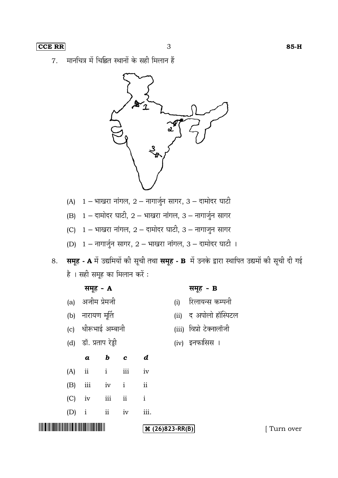मानचित्र में चिह्नित स्थानों के सही मिलान हैं 7.



- 
- (B)  $1 \pi$ नामोदर घाटी,  $2 \pi$ याखरा नांगल, 3 नागार्जुन सागर
- (C)  $1 -$  भाखरा नांगल,  $2 -$  दामोदर घाटी,  $3 -$  नागाजुन सागर
- (D)  $1 \pi n \sqrt{3} \pi$  सागर,  $2 \pi n \sqrt{3} \pi$ , 3 दामोदर घाटी ।
- 8. समूह A में उद्यमियों की सूची तथा समूह B में उनके द्वारा स्थापित उद्यमों की सूची दी गई है । सही समूह का मिलान करें :

|                                                                                                                        |                     | समूह - <b>A</b>       |                    |     |                    |     | समूह - B                |           |
|------------------------------------------------------------------------------------------------------------------------|---------------------|-----------------------|--------------------|-----|--------------------|-----|-------------------------|-----------|
|                                                                                                                        | (a)                 | अजीम प्रेमजी          |                    |     |                    | (i) | रिलायन्स कम्पनी         |           |
|                                                                                                                        | (b)                 | नारायण मूर्ति         |                    |     |                    |     | (ii) द अपोलो हॉस्पिटल   |           |
|                                                                                                                        |                     | (c) धीरूभाई अम्बानी   |                    |     |                    |     | (iii) विप्रो टेक्नालॉजी |           |
|                                                                                                                        |                     | (d) डॉ. प्रताप रेड्डी |                    |     |                    |     | (iv) इनफासिस ।          |           |
|                                                                                                                        |                     | $\boldsymbol{a}$      | $b$ $c$            |     | d                  |     |                         |           |
|                                                                                                                        | (A)                 | ii                    | i                  | iii | iv                 |     |                         |           |
|                                                                                                                        | (B)                 | $\rm iii$             | iv<br>$\mathbf{i}$ |     | ii                 |     |                         |           |
|                                                                                                                        | (C)                 | iv                    | iii                | ii  | $\mathbf{i}$       |     |                         |           |
|                                                                                                                        | $\mathbf{i}$<br>(D) |                       | ii                 | iv  | iii.               |     |                         |           |
| <u> A TANAH MANJI A MATATA NA MATATA NA MATATA NA MATATA NA MATATA NA MATATA NA MATATA NA MATATA NA MATATA NA MATA</u> |                     |                       |                    |     | $\Re(26)823-RR(B)$ |     |                         | Turn over |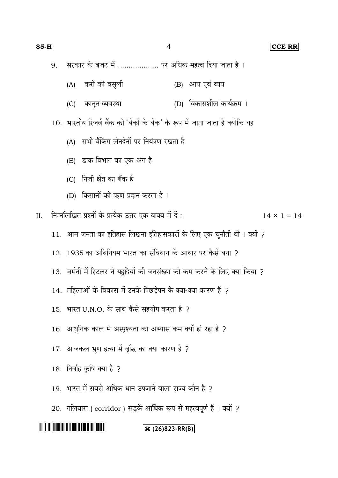# **85-H** 4 **CCE RR**

- सरकार के बजट में ................... पर अधिक महत्व दिया जाता है । 9.
	- (A) करों की वसूली (B) आय एवं व्यय
	- (C) कानून-व्यवस्था (D) विकासशील कार्यक्रम ।

10. भारतीय रिजर्व बैंक को 'बैंकों के बैंक' के रूप में जाना जाता है क्योंकि यह

- (A) सभी बैंकिंग लेनदेनों पर नियंत्रण रखता है
- (B) डाक विभाग का एक अंग है
- (C) निजी क्षेत्र का बैंक है
- (D) किसानों को ऋण प्रदान करता है।

II. निम्नलिखित प्रश्नों के प्रत्येक उत्तर एक वाक्य में दें :  $14 \times 1 = 14$ 

- 11. आम जनता का इतिहास लिखना इतिहासकारों के लिए एक चुनौती थी। क्यों ?
- 12. 1935 का अधिनियम भारत का संविधान के आधार पर कैसे बना ?
- 13. जर्मनी में हिटलर ने यहूदियों की जनसंख्या को कम करने के लिए क्या किया ?
- 14. महिलाओं के विकास में उनके पिछड़ेपन के क्या-क्या कारण हैं ?
- $15.$  भारत U.N.O. के साथ कैसे सहयोग करता है ?
- 16. आधुनिक काल में अस्पृश्यता का अभ्यास कम क्यों हो रहा है ?
- 17. आजकल भ्रूण हत्या में वृद्धि का क्या कारण है ?
- 18.
- 19. भारत में सबसे अधिक धान उपजाने वाला राज्य कौन है ?
- 20. गलियारा ( corridor ) सड़कें आर्थिक रूप से महत्वपूर्ण हैं । क्यों ?

# 

# **(26)823-RR(B)**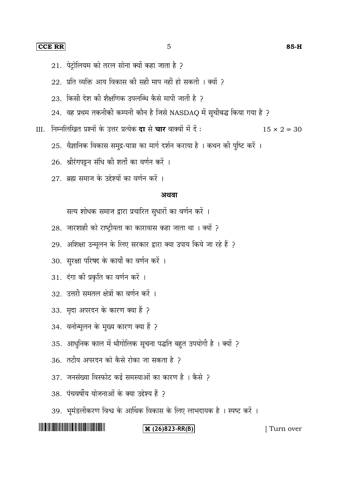#### **CCE RR** 5 **85-H**

- 21. पेट्रोलियम को तरल सोना क्यों कहा जाता है ?
- $22.$  प्रति व्यक्ति आय विकास की सही माप नहीं हो सकती । क्यों २
- $23.$  किसी देश की शैक्षणिक उपलब्धि कैसे मापी जाती है 2
- $24.$  वह प्रथम तकनीकी कम्पनी कौन है जिसे NASDAQ में सूचीबद्ध किया गया है ?
- III. निम्नलिखित प्रश्नों के उत्तर प्रत्येक **दा** से चार वाक्यों में दें :  $15 \times 2 = 30$ 
	- 25. वैज्ञानिक विकास समुद्र-यात्रा का मार्ग दर्शन कराया है । कथन की पुष्टि करें ।
	- 26. श्रीरंगपट्टन संधि की शर्तों का वर्णन करें ।
	- 27 ब्रह्म समाज के उद्देश्यों का वर्णन करें ।

#### अथवा

सत्य शोधक समाज द्वारा प्रचारित सुधारों का वर्णन करें ।

- 28. जारशाही को राष्ट्रीयता का कारावास कहा जाता था । क्यों ?
- 29. अशिक्षा उन्मूलन के लिए सरकार द्वारा क्या उपाय किये जा रहे हैं ?
- 30. सुरक्षा परिषद के कार्यों का वर्णन करें ।
- 31. दंगा की प्रकृति का वर्णन करें ।
- 32. उत्तरी समतल क्षेत्रों का वर्णन करें ।
- 33. मृदा अपरदन के कारण क्या हैं ?
- 34. वनोन्मूलन के मुख्य कारण क्या हैं ?
- 35. आधुनिक काल में भौगोलिक सूचना पद्धति बहुत उपयोगी है । क्यों ?
- 36. तटीय अपरदन को कैसे रोका जा सकता है २
- 37. जनसंख्या विस्फोट कई समस्याओं का कारण है । कैसे ?
- 38. पंचवर्षीय योजनाओं के क्या उद्देश्य हैं २
- 39. भूमंडलीकरण विश्व के आर्थिक विकास के लिए लाभदायक है । स्पष्ट करें ।

# <u> III di kacamatan Indonesia Kabupatén Indonesia Propinsi Jawa Barat, Propinsi Jawa Barat, Propinsi Jawa Barat, </u>

## **(26) 23-RR(B)** [ Turn over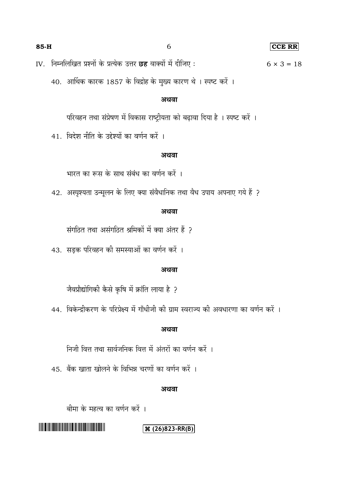IV. निम्नलिखित प्रश्नों के प्रत्येक उत्तर **छह** वाक्यों में दीजिए :  $6 \times 3 = 18$ 

40. आर्थिक कारक 1857 के विद्रोह के मुख्य कारण थे। स्पष्ट करें।

# अथवा

परिवहन तथा संप्रेषण में विकास राष्ट्रीयता को बढ़ावा दिया है । स्पष्ट करें ।

41. विदेश नीति के उद्देश्यों का वर्णन करें ।

#### अथवा

भारत का रूस के साथ संबंध का वर्णन करें ।

42. अस्पृश्यता उन्मूलन के लिए क्या संवैधानिक तथा वैध उपाय अपनाए गये हैं ?

# अथवा

संगठित तथा असंगठित श्रमिकों में क्या अंतर हैं ?

43. सड़क परिवहन की समस्याओं का वर्णन करें ।

### अथवा

जैवप्रौद्योगिकी कैसे कृषि में क्रांति लाया है ?

44. विकेन्द्रीकरण के परिप्रेक्ष्य में गाँधीजी की ग्राम स्वराज्य की अवधारणा का वर्णन करें ।

## अथवा

निजी वित्त तथा सार्वजनिक वित्त में अंतरों का वर्णन करें ।

45. बैंक खाता खोलने के विभिन्न चरणों का वर्णन करें ।

### अथवा

बीमा के महत्व का वर्णन करें ।

# 

# **(26)823-RR(B)**

## **85-H** 6 **CCE RR**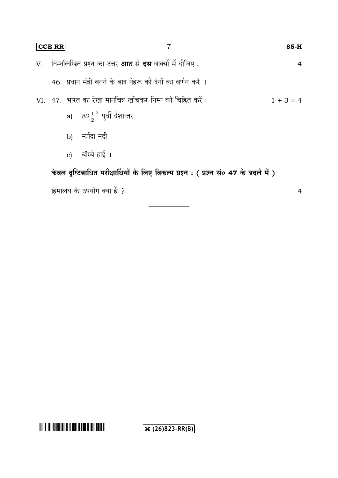| <b>CCE RR</b> | 7                                                                                  |             | $85-H$         |
|---------------|------------------------------------------------------------------------------------|-------------|----------------|
|               | V.    निम्नलिखित प्रश्न का उत्तर <b>आठ</b> से <b>दस</b> वाक्यों में दीजिए :        |             | $\overline{4}$ |
|               | 46. प्रधान मंत्री बनने के बाद नेहरू की देनों का वर्णन करें ।                       |             |                |
|               | VI. 47. भारत का रेखा मार्नाचत्र खींचकर निम्न को चिह्नित करें :                     | $1 + 3 = 4$ |                |
|               | a) $82\frac{1}{2}$ ° पूर्वी देशान्तर                                               |             |                |
|               | b) नर्मदा नदी                                                                      |             |                |
|               | c) बॉम्बे हाई ।                                                                    |             |                |
|               | केवल दृष्टिबाधित परीक्षार्थियों के लिए विकल्प प्रश्न : (प्रश्न सं० 47 के बदले में) |             |                |
|               | हिमालय के उपयोग क्या हैं ?                                                         |             | 4              |

**(26)823-RR(B)**